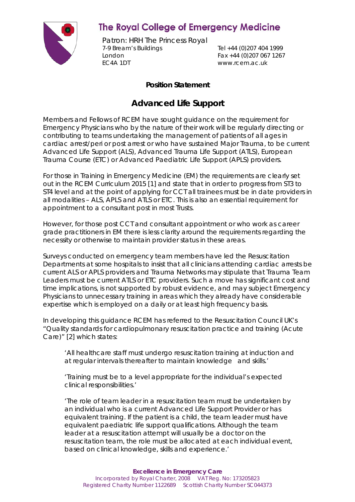

## **The Royal College of Emergency Medicine**

Patron: HRH The Princess Royal 7-9 Bream's Buildings Tel +44 (0)207 404 1999 London Fax +44 (0)207 067 1267 EC4A 1DT www.rcem.ac.uk

## **Position Statement**

## **Advanced Life Support**

Members and Fellows of RCEM have sought guidance on the requirement for Emergency Physicians who by the nature of their work will be regularly directing or contributing to teams undertaking the management of patients of all ages in cardiac arrest/peri or post arrest or who have sustained Major Trauma, to be current Advanced Life Support (ALS), Advanced Trauma Life Support (ATLS), European Trauma Course (ETC) or Advanced Paediatric Life Support (APLS) providers.

For those in Training in Emergency Medicine (EM) the requirements are clearly set out in the RCEM Curriculum 2015 [1] and state that in order to progress from ST3 to ST4 level and at the point of applying for CCT all trainees must be in date providers in all modalities – ALS, APLS and ATLS or ETC. This is also an essential requirement for appointment to a consultant post in most Trusts.

However, for those post CCT and consultant appointment or who work as career grade practitioners in EM there is less clarity around the requirements regarding the necessity or otherwise to maintain provider status in these areas.

Surveys conducted on emergency team members have led the Resuscitation Departments at some hospitals to insist that all clinicians attending cardiac arrests be current ALS or APLS providers and Trauma Networks may stipulate that Trauma Team Leaders must be current ATLS or ETC providers. Such a move has significant cost and time implications, is not supported by robust evidence, and may subject Emergency Physicians to unnecessary training in areas which they already have considerable expertise which is employed on a daily or at least high frequency basis.

In developing this guidance RCEM has referred to the Resuscitation Council UK's "Quality standards for cardiopulmonary resuscitation practice and training (Acute Care)" [2] which states:

*'All healthcare staff must undergo resuscitation training at induction and at regular intervals thereafter to maintain knowledge and skills.'*

*'Training must be to a level appropriate for the individual's expected clinical responsibilities.'*

*'The role of team leader in a resuscitation team must be undertaken by an individual who is a current Advanced Life Support Provider or has equivalent training. If the patient is a child, the team leader must have equivalent paediatric life support qualifications. Although the team leader at a resuscitation attempt will usually be a doctor on the resuscitation team, the role must be allocated at each individual event, based on clinical knowledge, skills and experience.'*